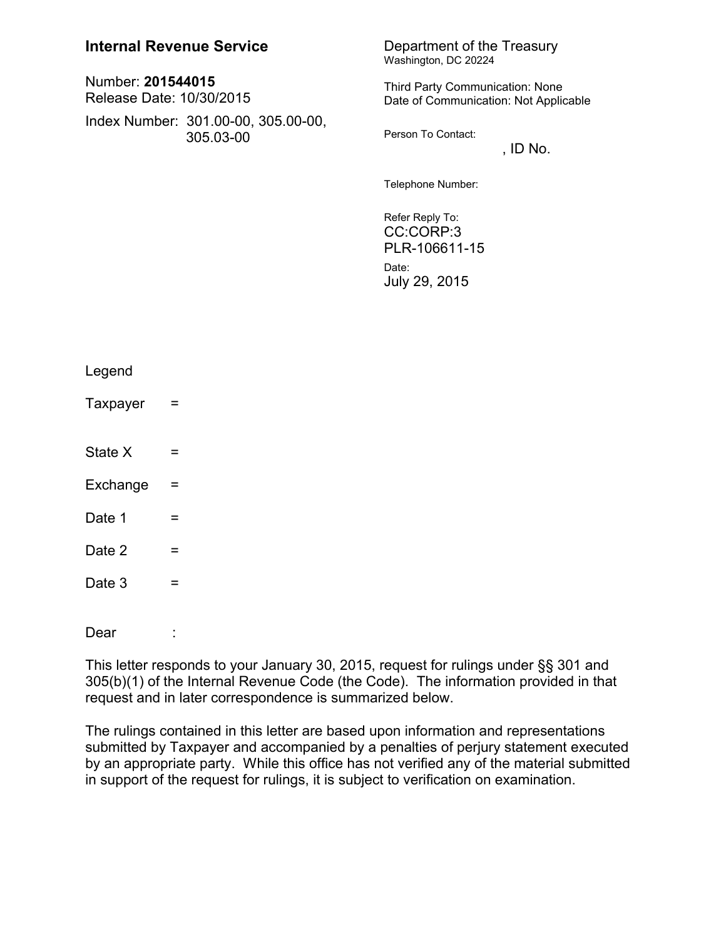# **Internal Revenue Service** Department of the Treasury

| Number: 201544015<br>Release Date: 10/30/2015 |                                                  |
|-----------------------------------------------|--------------------------------------------------|
|                                               | Index Number: 301.00-00, 305.00-00,<br>305.03-00 |

Washington, DC 20224

Third Party Communication: None Date of Communication: Not Applicable

Person To Contact:

 $,$  ID No.

Telephone Number:

Refer Reply To: CC:CORP:3 PLR-106611-15 Date: July 29, 2015

| Legend   |   |  |
|----------|---|--|
| Taxpayer | = |  |
| State X  | = |  |
| Exchange | Ξ |  |
| Date 1   | = |  |
| Date 2   | = |  |
| Date 3   | = |  |
| Dear     |   |  |
|          |   |  |

This letter responds to your January 30, 2015, request for rulings under §§ 301 and 305(b)(1) of the Internal Revenue Code (the Code). The information provided in that request and in later correspondence is summarized below.

The rulings contained in this letter are based upon information and representations submitted by Taxpayer and accompanied by a penalties of perjury statement executed by an appropriate party. While this office has not verified any of the material submitted in support of the request for rulings, it is subject to verification on examination.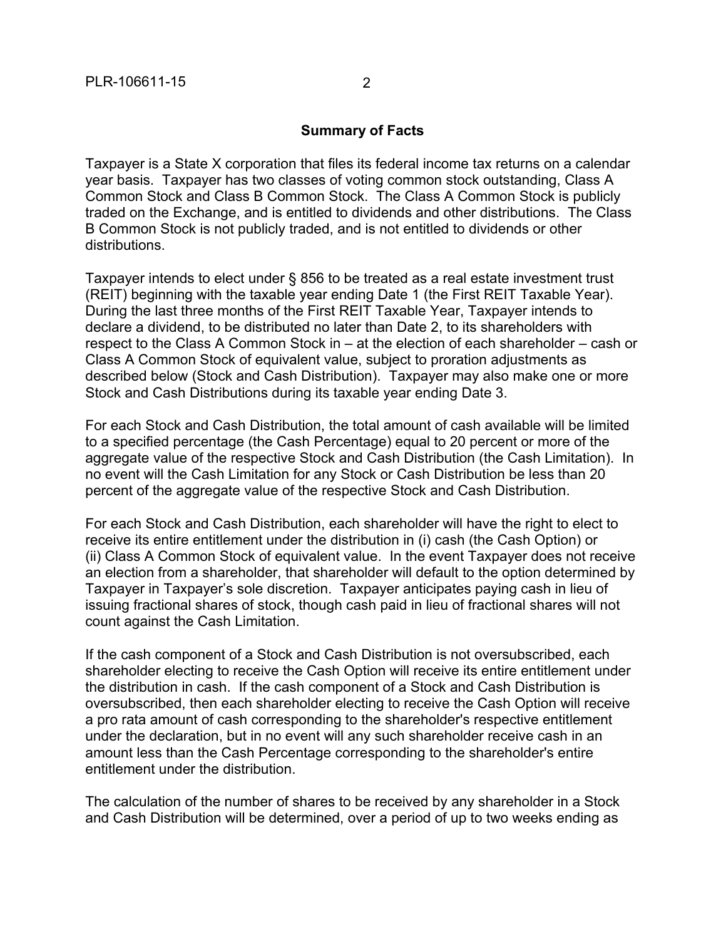#### **Summary of Facts**

Taxpayer is a State X corporation that files its federal income tax returns on a calendar year basis. Taxpayer has two classes of voting common stock outstanding, Class A Common Stock and Class B Common Stock. The Class A Common Stock is publicly traded on the Exchange, and is entitled to dividends and other distributions. The Class B Common Stock is not publicly traded, and is not entitled to dividends or other distributions.

Taxpayer intends to elect under § 856 to be treated as a real estate investment trust (REIT) beginning with the taxable year ending Date 1 (the First REIT Taxable Year). During the last three months of the First REIT Taxable Year, Taxpayer intends to declare a dividend, to be distributed no later than Date 2, to its shareholders with respect to the Class A Common Stock in – at the election of each shareholder – cash or Class A Common Stock of equivalent value, subject to proration adjustments as described below (Stock and Cash Distribution). Taxpayer may also make one or more Stock and Cash Distributions during its taxable year ending Date 3.

For each Stock and Cash Distribution, the total amount of cash available will be limited to a specified percentage (the Cash Percentage) equal to 20 percent or more of the aggregate value of the respective Stock and Cash Distribution (the Cash Limitation). In no event will the Cash Limitation for any Stock or Cash Distribution be less than 20 percent of the aggregate value of the respective Stock and Cash Distribution.

For each Stock and Cash Distribution, each shareholder will have the right to elect to receive its entire entitlement under the distribution in (i) cash (the Cash Option) or (ii) Class A Common Stock of equivalent value. In the event Taxpayer does not receive an election from a shareholder, that shareholder will default to the option determined by Taxpayer in Taxpayer's sole discretion. Taxpayer anticipates paying cash in lieu of issuing fractional shares of stock, though cash paid in lieu of fractional shares will not count against the Cash Limitation.

If the cash component of a Stock and Cash Distribution is not oversubscribed, each shareholder electing to receive the Cash Option will receive its entire entitlement under the distribution in cash. If the cash component of a Stock and Cash Distribution is oversubscribed, then each shareholder electing to receive the Cash Option will receive a pro rata amount of cash corresponding to the shareholder's respective entitlement under the declaration, but in no event will any such shareholder receive cash in an amount less than the Cash Percentage corresponding to the shareholder's entire entitlement under the distribution.

The calculation of the number of shares to be received by any shareholder in a Stock and Cash Distribution will be determined, over a period of up to two weeks ending as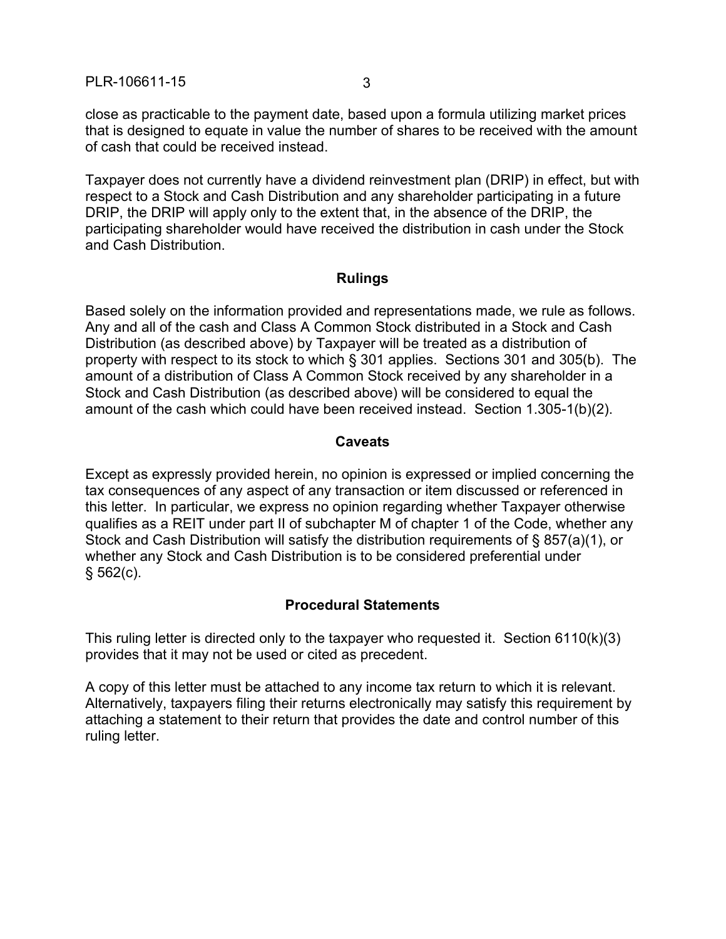close as practicable to the payment date, based upon a formula utilizing market prices that is designed to equate in value the number of shares to be received with the amount of cash that could be received instead.

Taxpayer does not currently have a dividend reinvestment plan (DRIP) in effect, but with respect to a Stock and Cash Distribution and any shareholder participating in a future DRIP, the DRIP will apply only to the extent that, in the absence of the DRIP, the participating shareholder would have received the distribution in cash under the Stock and Cash Distribution.

### **Rulings**

Based solely on the information provided and representations made, we rule as follows. Any and all of the cash and Class A Common Stock distributed in a Stock and Cash Distribution (as described above) by Taxpayer will be treated as a distribution of property with respect to its stock to which § 301 applies. Sections 301 and 305(b). The amount of a distribution of Class A Common Stock received by any shareholder in a Stock and Cash Distribution (as described above) will be considered to equal the amount of the cash which could have been received instead. Section 1.305-1(b)(2).

### **Caveats**

Except as expressly provided herein, no opinion is expressed or implied concerning the tax consequences of any aspect of any transaction or item discussed or referenced in this letter. In particular, we express no opinion regarding whether Taxpayer otherwise qualifies as a REIT under part II of subchapter M of chapter 1 of the Code, whether any Stock and Cash Distribution will satisfy the distribution requirements of § 857(a)(1), or whether any Stock and Cash Distribution is to be considered preferential under  $§ 562(c).$ 

# **Procedural Statements**

This ruling letter is directed only to the taxpayer who requested it. Section 6110(k)(3) provides that it may not be used or cited as precedent.

A copy of this letter must be attached to any income tax return to which it is relevant. Alternatively, taxpayers filing their returns electronically may satisfy this requirement by attaching a statement to their return that provides the date and control number of this ruling letter.